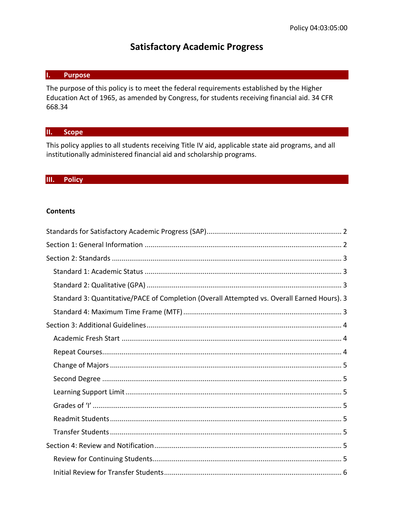## **Satisfactory Academic Progress**

#### **I. Purpose**

The purpose of this policy is to meet the federal requirements established by the Higher Education Act of 1965, as amended by Congress, for students receiving financial aid. 34 CFR 668.34

#### **II. Scope**

This policy applies to all students receiving Title IV aid, applicable state aid programs, and all institutionally administered financial aid and scholarship programs.

#### **III. Policy**

#### **Contents**

| Standard 3: Quantitative/PACE of Completion (Overall Attempted vs. Overall Earned Hours). 3 |
|---------------------------------------------------------------------------------------------|
|                                                                                             |
|                                                                                             |
|                                                                                             |
|                                                                                             |
|                                                                                             |
|                                                                                             |
|                                                                                             |
|                                                                                             |
|                                                                                             |
|                                                                                             |
|                                                                                             |
|                                                                                             |
|                                                                                             |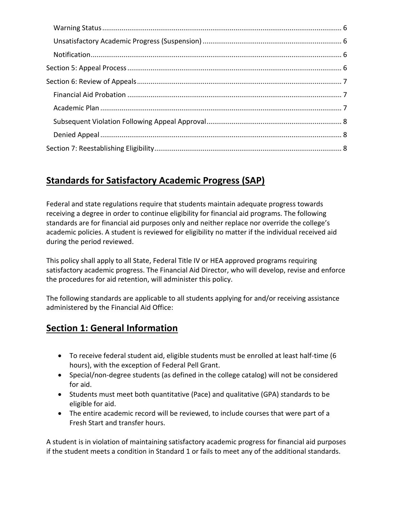# <span id="page-1-0"></span>**Standards for Satisfactory Academic Progress (SAP)**

Federal and state regulations require that students maintain adequate progress towards receiving a degree in order to continue eligibility for financial aid programs. The following standards are for financial aid purposes only and neither replace nor override the college's academic policies. A student is reviewed for eligibility no matter if the individual received aid during the period reviewed.

This policy shall apply to all State, Federal Title IV or HEA approved programs requiring satisfactory academic progress. The Financial Aid Director, who will develop, revise and enforce the procedures for aid retention, will administer this policy.

The following standards are applicable to all students applying for and/or receiving assistance administered by the Financial Aid Office:

# <span id="page-1-1"></span>**Section 1: General Information**

- To receive federal student aid, eligible students must be enrolled at least half-time (6 hours), with the exception of Federal Pell Grant.
- Special/non-degree students (as defined in the college catalog) will not be considered for aid.
- Students must meet both quantitative (Pace) and qualitative (GPA) standards to be eligible for aid.
- The entire academic record will be reviewed, to include courses that were part of a Fresh Start and transfer hours.

A student is in violation of maintaining satisfactory academic progress for financial aid purposes if the student meets a condition in Standard 1 or fails to meet any of the additional standards.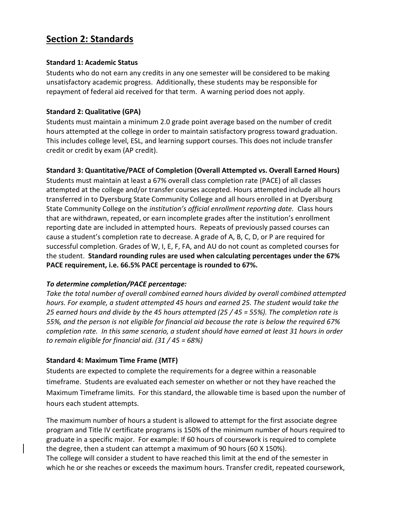## <span id="page-2-1"></span><span id="page-2-0"></span>**Section 2: Standards**

#### **Standard 1: Academic Status**

Students who do not earn any credits in any one semester will be considered to be making unsatisfactory academic progress. Additionally, these students may be responsible for repayment of federal aid received for that term. A warning period does not apply.

#### <span id="page-2-2"></span>**Standard 2: Qualitative (GPA)**

Students must maintain a minimum 2.0 grade point average based on the number of credit hours attempted at the college in order to maintain satisfactory progress toward graduation. This includes college level, ESL, and learning support courses. This does not include transfer credit or credit by exam (AP credit).

#### <span id="page-2-3"></span>**Standard 3: Quantitative/PACE of Completion (Overall Attempted vs. Overall Earned Hours)**

Students must maintain at least a 67% overall class completion rate (PACE) of all classes attempted at the college and/or transfer courses accepted. Hours attempted include all hours transferred in to Dyersburg State Community College and all hours enrolled in at Dyersburg State Community College on the *institution's official enrollment reporting date.* Class hours that are withdrawn, repeated, or earn incomplete grades after the institution's enrollment reporting date are included in attempted hours. Repeats of previously passed courses can cause a student's completion rate to decrease. A grade of A, B, C, D, or P are required for successful completion. Grades of W, I, E, F, FA, and AU do not count as completed courses for the student. **Standard rounding rules are used when calculating percentages under the 67% PACE requirement, i.e. 66.5% PACE percentage is rounded to 67%.**

#### *To determine completion/PACE percentage:*

*Take the total number of overall combined earned hours divided by overall combined attempted hours. For example, a student attempted 45 hours and earned 25. The student would take the 25 earned hours and divide by the 45 hours attempted (25 / 45 = 55%). The completion rate is 55%, and the person is not eligible for financial aid because the rate is below the required 67% completion rate. In this same scenario, a student should have earned at least 31 hours in order to remain eligible for financial aid. (31 / 45 = 68%)*

#### <span id="page-2-4"></span>**Standard 4: Maximum Time Frame (MTF)**

Students are expected to complete the requirements for a degree within a reasonable timeframe. Students are evaluated each semester on whether or not they have reached the Maximum Timeframe limits. For this standard, the allowable time is based upon the number of hours each student attempts.

The maximum number of hours a student is allowed to attempt for the first associate degree program and Title IV certificate programs is 150% of the minimum number of hours required to graduate in a specific major. For example: If 60 hours of coursework is required to complete the degree, then a student can attempt a maximum of 90 hours (60 X 150%). The college will consider a student to have reached this limit at the end of the semester in which he or she reaches or exceeds the maximum hours. Transfer credit, repeated coursework,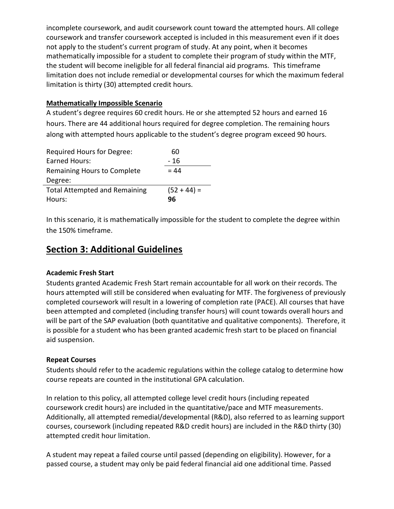incomplete coursework, and audit coursework count toward the attempted hours. All college coursework and transfer coursework accepted is included in this measurement even if it does not apply to the student's current program of study. At any point, when it becomes mathematically impossible for a student to complete their program of study within the MTF, the student will become ineligible for all federal financial aid programs. This timeframe limitation does not include remedial or developmental courses for which the maximum federal limitation is thirty (30) attempted credit hours.

#### **Mathematically Impossible Scenario**

A student's degree requires 60 credit hours. He or she attempted 52 hours and earned 16 hours. There are 44 additional hours required for degree completion. The remaining hours along with attempted hours applicable to the student's degree program exceed 90 hours.

| Required Hours for Degree:           | 60            |
|--------------------------------------|---------------|
| <b>Earned Hours:</b>                 | - 16          |
| Remaining Hours to Complete          | $= 44$        |
| Degree:                              |               |
| <b>Total Attempted and Remaining</b> | $(52 + 44) =$ |
| Hours:                               | 96            |

In this scenario, it is mathematically impossible for the student to complete the degree within the 150% timeframe.

## <span id="page-3-1"></span><span id="page-3-0"></span>**Section 3: Additional Guidelines**

#### **Academic Fresh Start**

Students granted Academic Fresh Start remain accountable for all work on their records. The hours attempted will still be considered when evaluating for MTF. The forgiveness of previously completed coursework will result in a lowering of completion rate (PACE). All courses that have been attempted and completed (including transfer hours) will count towards overall hours and will be part of the SAP evaluation (both quantitative and qualitative components). Therefore, it is possible for a student who has been granted academic fresh start to be placed on financial aid suspension.

#### <span id="page-3-2"></span>**Repeat Courses**

Students should refer to the academic regulations within the college catalog to determine how course repeats are counted in the institutional GPA calculation.

In relation to this policy, all attempted college level credit hours (including repeated coursework credit hours) are included in the quantitative/pace and MTF measurements. Additionally, all attempted remedial/developmental (R&D), also referred to as learning support courses, coursework (including repeated R&D credit hours) are included in the R&D thirty (30) attempted credit hour limitation.

A student may repeat a failed course until passed (depending on eligibility). However, for a passed course, a student may only be paid federal financial aid one additional time. Passed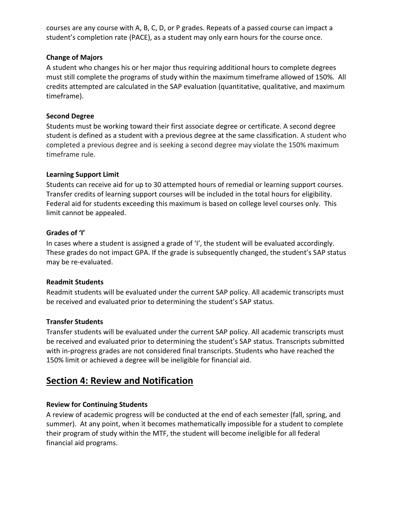courses are any course with A, B, C, D, or P grades. Repeats of a passed course can impact a student's completion rate (PACE), as a student may only earn hours for the course once.

#### <span id="page-4-0"></span>**Change of Majors**

A student who changes his or her major thus requiring additional hours to complete degrees must still complete the programs of study within the maximum timeframe allowed of 150%. All credits attempted are calculated in the SAP evaluation (quantitative, qualitative, and maximum timeframe).

#### <span id="page-4-1"></span>**Second Degree**

Students must be working toward their first associate degree or certificate. A second degree student is defined as a student with a previous degree at the same classification. A student who completed a previous degree and is seeking a second degree may violate the 150% maximum timeframe rule.

#### <span id="page-4-2"></span>**Learning Support Limit**

Students can receive aid for up to 30 attempted hours of remedial or learning support courses. Transfer credits of learning support courses will be included in the total hours for eligibility. Federal aid for students exceeding this maximum is based on college level courses only. This limit cannot be appealed.

#### <span id="page-4-3"></span>**Grades of 'I'**

In cases where a student is assigned a grade of 'I', the student will be evaluated accordingly. These grades do not impact GPA. If the grade is subsequently changed, the student's SAP status may be re-evaluated.

#### <span id="page-4-4"></span>**Readmit Students**

Readmit students will be evaluated under the current SAP policy. All academic transcripts must be received and evaluated prior to determining the student's SAP status.

### <span id="page-4-5"></span>**Transfer Students**

Transfer students will be evaluated under the current SAP policy. All academic transcripts must be received and evaluated prior to determining the student's SAP status. Transcripts submitted with in-progress grades are not considered final transcripts. Students who have reached the 150% limit or achieved a degree will be ineligible for financial aid.

## <span id="page-4-7"></span><span id="page-4-6"></span>**Section 4: Review and Notification**

### **Review for Continuing Students**

A review of academic progress will be conducted at the end of each semester (fall, spring, and summer). At any point, when it becomes mathematically impossible for a student to complete their program of study within the MTF, the student will become ineligible for all federal financial aid programs.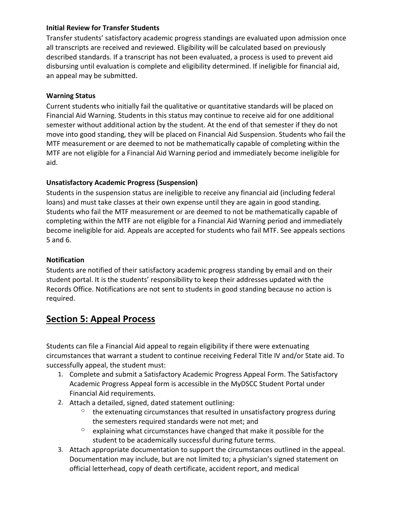#### <span id="page-5-0"></span>**Initial Review for Transfer Students**

Transfer students' satisfactory academic progress standings are evaluated upon admission once all transcripts are received and reviewed. Eligibility will be calculated based on previously described standards. If a transcript has not been evaluated, a process is used to prevent aid disbursing until evaluation is complete and eligibility determined. If ineligible for financial aid, an appeal may be submitted.

#### <span id="page-5-1"></span>**Warning Status**

Current students who initially fail the qualitative or quantitative standards will be placed on Financial Aid Warning. Students in this status may continue to receive aid for one additional semester without additional action by the student. At the end of that semester if they do not move into good standing, they will be placed on Financial Aid Suspension. Students who fail the MTF measurement or are deemed to not be mathematically capable of completing within the MTF are not eligible for a Financial Aid Warning period and immediately become ineligible for aid.

### <span id="page-5-2"></span>**Unsatisfactory Academic Progress (Suspension)**

Students in the suspension status are ineligible to receive any financial aid (including federal loans) and must take classes at their own expense until they are again in good standing. Students who fail the MTF measurement or are deemed to not be mathematically capable of completing within the MTF are not eligible for a Financial Aid Warning period and immediately become ineligible for aid. Appeals are accepted for students who fail MTF. See appeals sections 5 and 6.

### <span id="page-5-3"></span>**Notification**

Students are notified of their satisfactory academic progress standing by email and on their student portal. It is the students' responsibility to keep their addresses updated with the Records Office. Notifications are not sent to students in good standing because no action is required.

## <span id="page-5-4"></span>**Section 5: Appeal Process**

Students can file a Financial Aid appeal to regain eligibility if there were extenuating circumstances that warrant a student to continue receiving Federal Title IV and/or State aid. To successfully appeal, the student must:

- 1. Complete and submit a Satisfactory Academic Progress Appeal Form. The Satisfactory Academic Progress Appeal form is accessible in the MyDSCC Student Portal under Financial Aid requirements.
- 2. Attach a detailed, signed, dated statement outlining:
	- $\circ$  the extenuating circumstances that resulted in unsatisfactory progress during the semesters required standards were not met; and
	- $\degree$  explaining what circumstances have changed that make it possible for the student to be academically successful during future terms.
- 3. Attach appropriate documentation to support the circumstances outlined in the appeal. Documentation may include, but are not limited to; a physician's signed statement on official letterhead, copy of death certificate, accident report, and medical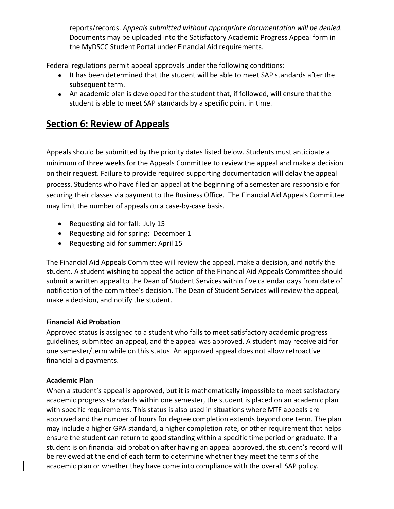reports/records. *Appeals submitted without appropriate documentation will be denied.*  Documents may be uploaded into the Satisfactory Academic Progress Appeal form in the MyDSCC Student Portal under Financial Aid requirements.

Federal regulations permit appeal approvals under the following conditions:

- It has been determined that the student will be able to meet SAP standards after the subsequent term.
- An academic plan is developed for the student that, if followed, will ensure that the student is able to meet SAP standards by a specific point in time.

## <span id="page-6-0"></span>**Section 6: Review of Appeals**

Appeals should be submitted by the priority dates listed below. Students must anticipate a minimum of three weeks for the Appeals Committee to review the appeal and make a decision on their request. Failure to provide required supporting documentation will delay the appeal process. Students who have filed an appeal at the beginning of a semester are responsible for securing their classes via payment to the Business Office. The Financial Aid Appeals Committee may limit the number of appeals on a case-by-case basis.

- Requesting aid for fall: July 15
- Requesting aid for spring: December 1
- Requesting aid for summer: April 15

The Financial Aid Appeals Committee will review the appeal, make a decision, and notify the student. A student wishing to appeal the action of the Financial Aid Appeals Committee should submit a written appeal to the Dean of Student Services within five calendar days from date of notification of the committee's decision. The Dean of Student Services will review the appeal, make a decision, and notify the student.

#### <span id="page-6-1"></span>**Financial Aid Probation**

Approved status is assigned to a student who fails to meet satisfactory academic progress guidelines, submitted an appeal, and the appeal was approved. A student may receive aid for one semester/term while on this status. An approved appeal does not allow retroactive financial aid payments.

#### <span id="page-6-2"></span>**Academic Plan**

When a student's appeal is approved, but it is mathematically impossible to meet satisfactory academic progress standards within one semester, the student is placed on an academic plan with specific requirements. This status is also used in situations where MTF appeals are approved and the number of hours for degree completion extends beyond one term. The plan may include a higher GPA standard, a higher completion rate, or other requirement that helps ensure the student can return to good standing within a specific time period or graduate. If a student is on financial aid probation after having an appeal approved, the student's record will be reviewed at the end of each term to determine whether they meet the terms of the academic plan or whether they have come into compliance with the overall SAP policy.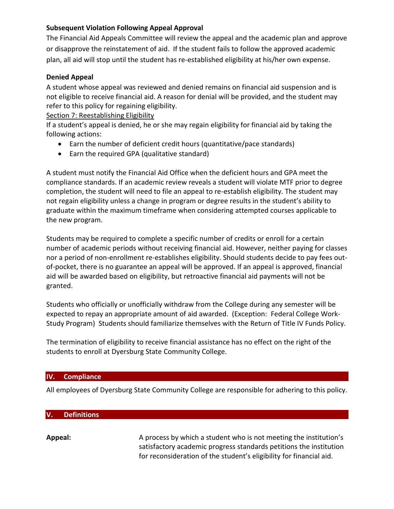#### <span id="page-7-0"></span>**Subsequent Violation Following Appeal Approval**

The Financial Aid Appeals Committee will review the appeal and the academic plan and approve or disapprove the reinstatement of aid. If the student fails to follow the approved academic plan, all aid will stop until the student has re-established eligibility at his/her own expense.

#### <span id="page-7-1"></span>**Denied Appeal**

A student whose appeal was reviewed and denied remains on financial aid suspension and is not eligible to receive financial aid. A reason for denial will be provided, and the student may refer to this policy for regaining eligibility.

<span id="page-7-2"></span>Section 7: Reestablishing Eligibility

If a student's appeal is denied, he or she may regain eligibility for financial aid by taking the following actions:

- Earn the number of deficient credit hours (quantitative/pace standards)
- Earn the required GPA (qualitative standard)

A student must notify the Financial Aid Office when the deficient hours and GPA meet the compliance standards. If an academic review reveals a student will violate MTF prior to degree completion, the student will need to file an appeal to re-establish eligibility. The student may not regain eligibility unless a change in program or degree results in the student's ability to graduate within the maximum timeframe when considering attempted courses applicable to the new program.

Students may be required to complete a specific number of credits or enroll for a certain number of academic periods without receiving financial aid. However, neither paying for classes nor a period of non-enrollment re-establishes eligibility. Should students decide to pay fees outof-pocket, there is no guarantee an appeal will be approved. If an appeal is approved, financial aid will be awarded based on eligibility, but retroactive financial aid payments will not be granted.

Students who officially or unofficially withdraw from the College during any semester will be expected to repay an appropriate amount of aid awarded. (Exception: Federal College Work-Study Program) Students should familiarize themselves with the Return of Title IV Funds Policy.

The termination of eligibility to receive financial assistance has no effect on the right of the students to enroll at Dyersburg State Community College.

#### **IV. Compliance**

All employees of Dyersburg State Community College are responsible for adhering to this policy.

#### **V. Definitions**

**Appeal:** A process by which a student who is not meeting the institution's satisfactory academic progress standards petitions the institution for reconsideration of the student's eligibility for financial aid.